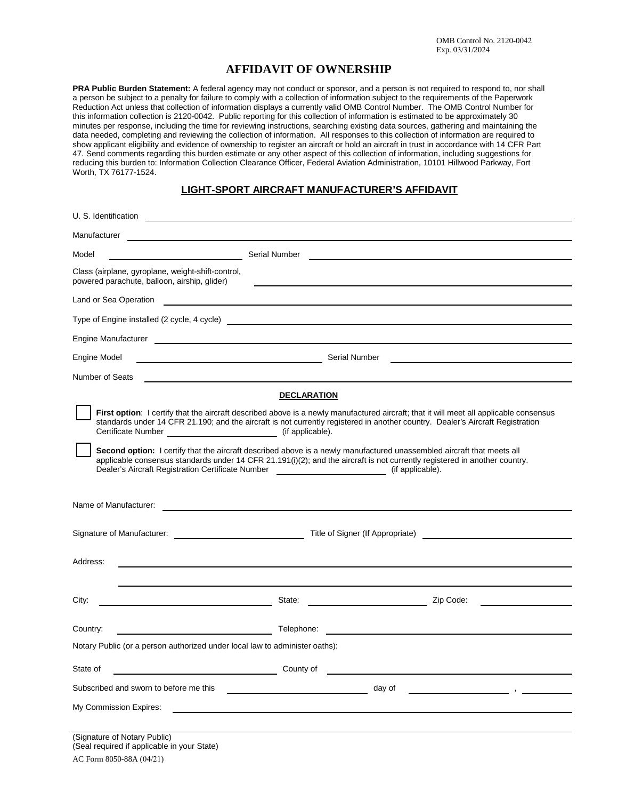## **AFFIDAVIT OF OWNERSHIP**

**PRA Public Burden Statement:** A federal agency may not conduct or sponsor, and a person is not required to respond to, nor shall a person be subject to a penalty for failure to comply with a collection of information subject to the requirements of the Paperwork Reduction Act unless that collection of information displays a currently valid OMB Control Number. The OMB Control Number for this information collection is 2120-0042. Public reporting for this collection of information is estimated to be approximately 30 minutes per response, including the time for reviewing instructions, searching existing data sources, gathering and maintaining the data needed, completing and reviewing the collection of information. All responses to this collection of information are required to show applicant eligibility and evidence of ownership to register an aircraft or hold an aircraft in trust in accordance with 14 CFR Part 47. Send comments regarding this burden estimate or any other aspect of this collection of information, including suggestions for reducing this burden to: Information Collection Clearance Officer, Federal Aviation Administration, 10101 Hillwood Parkway, Fort Worth, TX 76177-1524.

## **LIGHT-SPORT AIRCRAFT MANUFACTURER'S AFFIDAVIT**

| U. S. Identification                                                                              |                                                                                                                                                                                                                                                                                                                                                                                                                                                                                                                                                                                                                                                        |
|---------------------------------------------------------------------------------------------------|--------------------------------------------------------------------------------------------------------------------------------------------------------------------------------------------------------------------------------------------------------------------------------------------------------------------------------------------------------------------------------------------------------------------------------------------------------------------------------------------------------------------------------------------------------------------------------------------------------------------------------------------------------|
| Manufacturer                                                                                      |                                                                                                                                                                                                                                                                                                                                                                                                                                                                                                                                                                                                                                                        |
| Model                                                                                             | Serial Number                                                                                                                                                                                                                                                                                                                                                                                                                                                                                                                                                                                                                                          |
| Class (airplane, gyroplane, weight-shift-control,<br>powered parachute, balloon, airship, glider) |                                                                                                                                                                                                                                                                                                                                                                                                                                                                                                                                                                                                                                                        |
| Land or Sea Operation                                                                             |                                                                                                                                                                                                                                                                                                                                                                                                                                                                                                                                                                                                                                                        |
|                                                                                                   |                                                                                                                                                                                                                                                                                                                                                                                                                                                                                                                                                                                                                                                        |
|                                                                                                   |                                                                                                                                                                                                                                                                                                                                                                                                                                                                                                                                                                                                                                                        |
| <b>Engine Model</b><br><u> 1989 - Jan Barnett, fransk politiker (d. 1989)</u>                     | Serial Number                                                                                                                                                                                                                                                                                                                                                                                                                                                                                                                                                                                                                                          |
| Number of Seats                                                                                   |                                                                                                                                                                                                                                                                                                                                                                                                                                                                                                                                                                                                                                                        |
|                                                                                                   | <b>DECLARATION</b>                                                                                                                                                                                                                                                                                                                                                                                                                                                                                                                                                                                                                                     |
| Certificate Number ____________________________                                                   | First option: I certify that the aircraft described above is a newly manufactured aircraft; that it will meet all applicable consensus<br>standards under 14 CFR 21.190; and the aircraft is not currently registered in another country. Dealer's Aircraft Registration<br>(if applicable).<br>Second option: I certify that the aircraft described above is a newly manufactured unassembled aircraft that meets all<br>applicable consensus standards under 14 CFR 21.191(i)(2); and the aircraft is not currently registered in another country.<br>Dealer's Aircraft Registration Certificate Number ____________________________(if applicable). |
| Name of Manufacturer:                                                                             |                                                                                                                                                                                                                                                                                                                                                                                                                                                                                                                                                                                                                                                        |
|                                                                                                   |                                                                                                                                                                                                                                                                                                                                                                                                                                                                                                                                                                                                                                                        |
| Address:                                                                                          |                                                                                                                                                                                                                                                                                                                                                                                                                                                                                                                                                                                                                                                        |
| City:<br><u> 1980 - Johann Barn, fransk politik (d. 1980)</u>                                     | Zip Code:<br>State:                                                                                                                                                                                                                                                                                                                                                                                                                                                                                                                                                                                                                                    |
| Country:                                                                                          | Telephone:                                                                                                                                                                                                                                                                                                                                                                                                                                                                                                                                                                                                                                             |
| Notary Public (or a person authorized under local law to administer oaths):                       |                                                                                                                                                                                                                                                                                                                                                                                                                                                                                                                                                                                                                                                        |
| State of                                                                                          | County of                                                                                                                                                                                                                                                                                                                                                                                                                                                                                                                                                                                                                                              |
| Subscribed and sworn to before me this                                                            | day of                                                                                                                                                                                                                                                                                                                                                                                                                                                                                                                                                                                                                                                 |
| My Commission Expires:                                                                            |                                                                                                                                                                                                                                                                                                                                                                                                                                                                                                                                                                                                                                                        |
|                                                                                                   |                                                                                                                                                                                                                                                                                                                                                                                                                                                                                                                                                                                                                                                        |
| (Signature of Notary Public)<br>(Seal required if applicable in your State)                       |                                                                                                                                                                                                                                                                                                                                                                                                                                                                                                                                                                                                                                                        |

AC Form 8050-88A (04/21)